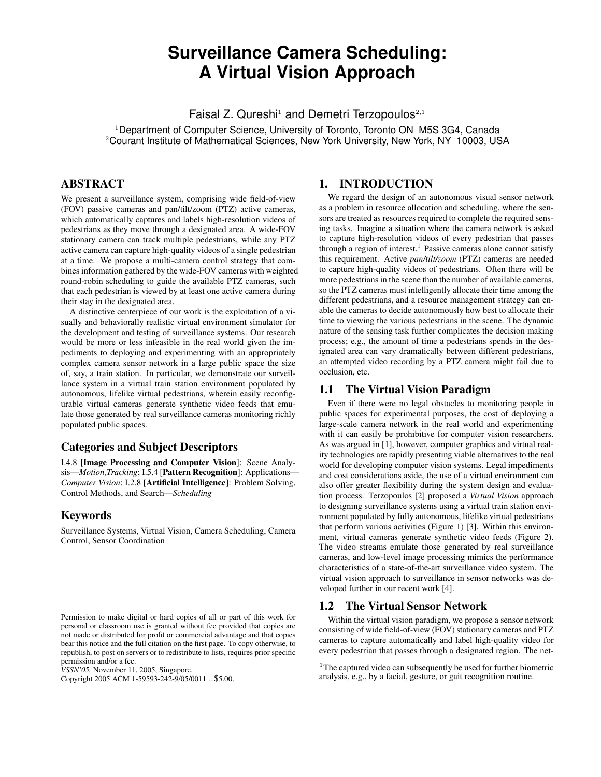# **Surveillance Camera Scheduling: A Virtual Vision Approach**

Faisal Z. Qureshi<sup>1</sup> and Demetri Terzopoulos<sup>2,1</sup>

<sup>1</sup>Department of Computer Science, University of Toronto, Toronto ON M5S 3G4, Canada <sup>2</sup>Courant Institute of Mathematical Sciences, New York University, New York, NY 10003, USA

# ABSTRACT

We present a surveillance system, comprising wide field-of-view (FOV) passive cameras and pan/tilt/zoom (PTZ) active cameras, which automatically captures and labels high-resolution videos of pedestrians as they move through a designated area. A wide-FOV stationary camera can track multiple pedestrians, while any PTZ active camera can capture high-quality videos of a single pedestrian at a time. We propose a multi-camera control strategy that combines information gathered by the wide-FOV cameras with weighted round-robin scheduling to guide the available PTZ cameras, such that each pedestrian is viewed by at least one active camera during their stay in the designated area.

A distinctive centerpiece of our work is the exploitation of a visually and behaviorally realistic virtual environment simulator for the development and testing of surveillance systems. Our research would be more or less infeasible in the real world given the impediments to deploying and experimenting with an appropriately complex camera sensor network in a large public space the size of, say, a train station. In particular, we demonstrate our surveillance system in a virtual train station environment populated by autonomous, lifelike virtual pedestrians, wherein easily reconfigurable virtual cameras generate synthetic video feeds that emulate those generated by real surveillance cameras monitoring richly populated public spaces.

### Categories and Subject Descriptors

I.4.8 [Image Processing and Computer Vision]: Scene Analysis—*Motion,Tracking*; I.5.4 [Pattern Recognition]: Applications— *Computer Vision*; I.2.8 [Artificial Intelligence]: Problem Solving, Control Methods, and Search—*Scheduling*

### Keywords

Surveillance Systems, Virtual Vision, Camera Scheduling, Camera Control, Sensor Coordination

*VSSN'05,* November 11, 2005, Singapore.

Copyright 2005 ACM 1-59593-242-9/05/0011 ...\$5.00.

### 1. INTRODUCTION

We regard the design of an autonomous visual sensor network as a problem in resource allocation and scheduling, where the sensors are treated as resources required to complete the required sensing tasks. Imagine a situation where the camera network is asked to capture high-resolution videos of every pedestrian that passes through a region of interest.<sup>1</sup> Passive cameras alone cannot satisfy this requirement. Active *pan/tilt/zoom* (PTZ) cameras are needed to capture high-quality videos of pedestrians. Often there will be more pedestrians in the scene than the number of available cameras, so the PTZ cameras must intelligently allocate their time among the different pedestrians, and a resource management strategy can enable the cameras to decide autonomously how best to allocate their time to viewing the various pedestrians in the scene. The dynamic nature of the sensing task further complicates the decision making process; e.g., the amount of time a pedestrians spends in the designated area can vary dramatically between different pedestrians, an attempted video recording by a PTZ camera might fail due to occlusion, etc.

### 1.1 The Virtual Vision Paradigm

Even if there were no legal obstacles to monitoring people in public spaces for experimental purposes, the cost of deploying a large-scale camera network in the real world and experimenting with it can easily be prohibitive for computer vision researchers. As was argued in [1], however, computer graphics and virtual reality technologies are rapidly presenting viable alternatives to the real world for developing computer vision systems. Legal impediments and cost considerations aside, the use of a virtual environment can also offer greater flexibility during the system design and evaluation process. Terzopoulos [2] proposed a *Virtual Vision* approach to designing surveillance systems using a virtual train station environment populated by fully autonomous, lifelike virtual pedestrians that perform various activities (Figure 1) [3]. Within this environment, virtual cameras generate synthetic video feeds (Figure 2). The video streams emulate those generated by real surveillance cameras, and low-level image processing mimics the performance characteristics of a state-of-the-art surveillance video system. The virtual vision approach to surveillance in sensor networks was developed further in our recent work [4].

### 1.2 The Virtual Sensor Network

Within the virtual vision paradigm, we propose a sensor network consisting of wide field-of-view (FOV) stationary cameras and PTZ cameras to capture automatically and label high-quality video for every pedestrian that passes through a designated region. The net-

Permission to make digital or hard copies of all or part of this work for personal or classroom use is granted without fee provided that copies are not made or distributed for profit or commercial advantage and that copies bear this notice and the full citation on the first page. To copy otherwise, to republish, to post on servers or to redistribute to lists, requires prior specific permission and/or a fee.

<sup>&</sup>lt;sup>1</sup>The captured video can subsequently be used for further biometric analysis, e.g., by a facial, gesture, or gait recognition routine.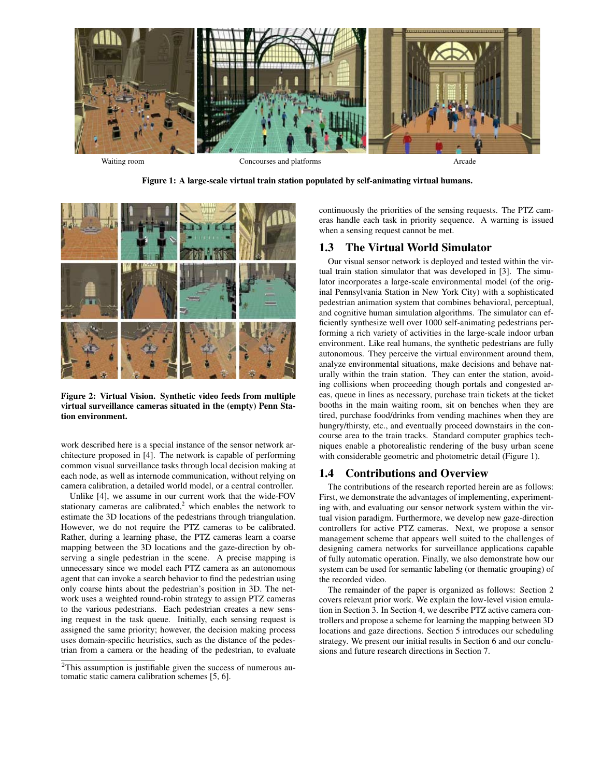





Figure 2: Virtual Vision. Synthetic video feeds from multiple virtual surveillance cameras situated in the (empty) Penn Station environment.

work described here is a special instance of the sensor network architecture proposed in [4]. The network is capable of performing common visual surveillance tasks through local decision making at each node, as well as internode communication, without relying on camera calibration, a detailed world model, or a central controller.

Unlike [4], we assume in our current work that the wide-FOV stationary cameras are calibrated, $2$  which enables the network to estimate the 3D locations of the pedestrians through triangulation. However, we do not require the PTZ cameras to be calibrated. Rather, during a learning phase, the PTZ cameras learn a coarse mapping between the 3D locations and the gaze-direction by observing a single pedestrian in the scene. A precise mapping is unnecessary since we model each PTZ camera as an autonomous agent that can invoke a search behavior to find the pedestrian using only coarse hints about the pedestrian's position in 3D. The network uses a weighted round-robin strategy to assign PTZ cameras to the various pedestrians. Each pedestrian creates a new sensing request in the task queue. Initially, each sensing request is assigned the same priority; however, the decision making process uses domain-specific heuristics, such as the distance of the pedestrian from a camera or the heading of the pedestrian, to evaluate continuously the priorities of the sensing requests. The PTZ cameras handle each task in priority sequence. A warning is issued when a sensing request cannot be met.

### 1.3 The Virtual World Simulator

Our visual sensor network is deployed and tested within the virtual train station simulator that was developed in [3]. The simulator incorporates a large-scale environmental model (of the original Pennsylvania Station in New York City) with a sophisticated pedestrian animation system that combines behavioral, perceptual, and cognitive human simulation algorithms. The simulator can efficiently synthesize well over 1000 self-animating pedestrians performing a rich variety of activities in the large-scale indoor urban environment. Like real humans, the synthetic pedestrians are fully autonomous. They perceive the virtual environment around them, analyze environmental situations, make decisions and behave naturally within the train station. They can enter the station, avoiding collisions when proceeding though portals and congested areas, queue in lines as necessary, purchase train tickets at the ticket booths in the main waiting room, sit on benches when they are tired, purchase food/drinks from vending machines when they are hungry/thirsty, etc., and eventually proceed downstairs in the concourse area to the train tracks. Standard computer graphics techniques enable a photorealistic rendering of the busy urban scene with considerable geometric and photometric detail (Figure 1).

### 1.4 Contributions and Overview

The contributions of the research reported herein are as follows: First, we demonstrate the advantages of implementing, experimenting with, and evaluating our sensor network system within the virtual vision paradigm. Furthermore, we develop new gaze-direction controllers for active PTZ cameras. Next, we propose a sensor management scheme that appears well suited to the challenges of designing camera networks for surveillance applications capable of fully automatic operation. Finally, we also demonstrate how our system can be used for semantic labeling (or thematic grouping) of the recorded video.

The remainder of the paper is organized as follows: Section 2 covers relevant prior work. We explain the low-level vision emulation in Section 3. In Section 4, we describe PTZ active camera controllers and propose a scheme for learning the mapping between 3D locations and gaze directions. Section 5 introduces our scheduling strategy. We present our initial results in Section 6 and our conclusions and future research directions in Section 7.

<sup>2</sup>This assumption is justifiable given the success of numerous automatic static camera calibration schemes [5, 6].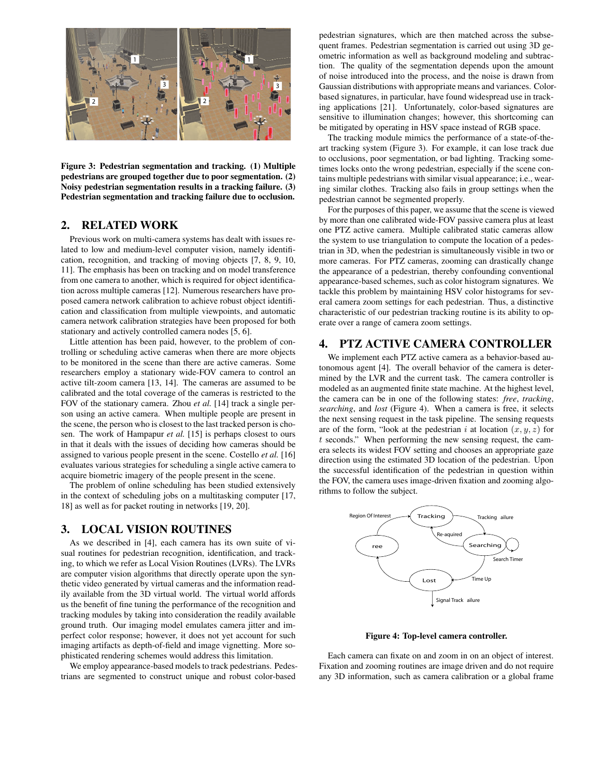

Figure 3: Pedestrian segmentation and tracking. (1) Multiple pedestrians are grouped together due to poor segmentation. (2) Noisy pedestrian segmentation results in a tracking failure. (3) Pedestrian segmentation and tracking failure due to occlusion.

# 2. RELATED WORK

Previous work on multi-camera systems has dealt with issues related to low and medium-level computer vision, namely identification, recognition, and tracking of moving objects [7, 8, 9, 10, 11]. The emphasis has been on tracking and on model transference from one camera to another, which is required for object identification across multiple cameras [12]. Numerous researchers have proposed camera network calibration to achieve robust object identification and classification from multiple viewpoints, and automatic camera network calibration strategies have been proposed for both stationary and actively controlled camera nodes [5, 6].

Little attention has been paid, however, to the problem of controlling or scheduling active cameras when there are more objects to be monitored in the scene than there are active cameras. Some researchers employ a stationary wide-FOV camera to control an active tilt-zoom camera [13, 14]. The cameras are assumed to be calibrated and the total coverage of the cameras is restricted to the FOV of the stationary camera. Zhou *et al.* [14] track a single person using an active camera. When multiple people are present in the scene, the person who is closest to the last tracked person is chosen. The work of Hampapur *et al.* [15] is perhaps closest to ours in that it deals with the issues of deciding how cameras should be assigned to various people present in the scene. Costello *et al.* [16] evaluates various strategies for scheduling a single active camera to acquire biometric imagery of the people present in the scene.

The problem of online scheduling has been studied extensively in the context of scheduling jobs on a multitasking computer [17, 18] as well as for packet routing in networks [19, 20].

### 3. LOCAL VISION ROUTINES

As we described in [4], each camera has its own suite of visual routines for pedestrian recognition, identification, and tracking, to which we refer as Local Vision Routines (LVRs). The LVRs are computer vision algorithms that directly operate upon the synthetic video generated by virtual cameras and the information readily available from the 3D virtual world. The virtual world affords us the benefit of fine tuning the performance of the recognition and tracking modules by taking into consideration the readily available ground truth. Our imaging model emulates camera jitter and imperfect color response; however, it does not yet account for such imaging artifacts as depth-of-field and image vignetting. More sophisticated rendering schemes would address this limitation.

We employ appearance-based models to track pedestrians. Pedestrians are segmented to construct unique and robust color-based

pedestrian signatures, which are then matched across the subsequent frames. Pedestrian segmentation is carried out using 3D geometric information as well as background modeling and subtraction. The quality of the segmentation depends upon the amount of noise introduced into the process, and the noise is drawn from Gaussian distributions with appropriate means and variances. Colorbased signatures, in particular, have found widespread use in tracking applications [21]. Unfortunately, color-based signatures are sensitive to illumination changes; however, this shortcoming can be mitigated by operating in HSV space instead of RGB space.

The tracking module mimics the performance of a state-of-theart tracking system (Figure 3). For example, it can lose track due to occlusions, poor segmentation, or bad lighting. Tracking sometimes locks onto the wrong pedestrian, especially if the scene contains multiple pedestrians with similar visual appearance; i.e., wearing similar clothes. Tracking also fails in group settings when the pedestrian cannot be segmented properly.

For the purposes of this paper, we assume that the scene is viewed by more than one calibrated wide-FOV passive camera plus at least one PTZ active camera. Multiple calibrated static cameras allow the system to use triangulation to compute the location of a pedestrian in 3D, when the pedestrian is simultaneously visible in two or more cameras. For PTZ cameras, zooming can drastically change the appearance of a pedestrian, thereby confounding conventional appearance-based schemes, such as color histogram signatures. We tackle this problem by maintaining HSV color histograms for several camera zoom settings for each pedestrian. Thus, a distinctive characteristic of our pedestrian tracking routine is its ability to operate over a range of camera zoom settings.

### 4. PTZ ACTIVE CAMERA CONTROLLER

We implement each PTZ active camera as a behavior-based autonomous agent [4]. The overall behavior of the camera is determined by the LVR and the current task. The camera controller is modeled as an augmented finite state machine. At the highest level, the camera can be in one of the following states: *free*, *tracking*, *searching*, and *lost* (Figure 4). When a camera is free, it selects the next sensing request in the task pipeline. The sensing requests are of the form, "look at the pedestrian i at location  $(x, y, z)$  for t seconds." When performing the new sensing request, the camera selects its widest FOV setting and chooses an appropriate gaze direction using the estimated 3D location of the pedestrian. Upon the successful identification of the pedestrian in question within the FOV, the camera uses image-driven fixation and zooming algorithms to follow the subject.



Figure 4: Top-level camera controller.

Each camera can fixate on and zoom in on an object of interest. Fixation and zooming routines are image driven and do not require any 3D information, such as camera calibration or a global frame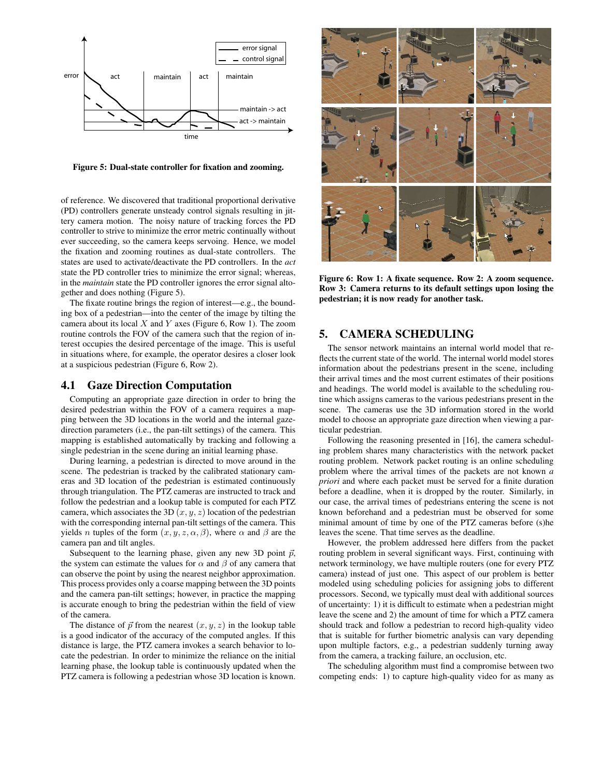

Figure 5: Dual-state controller for fixation and zooming.

of reference. We discovered that traditional proportional derivative (PD) controllers generate unsteady control signals resulting in jittery camera motion. The noisy nature of tracking forces the PD controller to strive to minimize the error metric continually without ever succeeding, so the camera keeps servoing. Hence, we model the fixation and zooming routines as dual-state controllers. The states are used to activate/deactivate the PD controllers. In the *act* state the PD controller tries to minimize the error signal; whereas, in the *maintain* state the PD controller ignores the error signal altogether and does nothing (Figure 5).

The fixate routine brings the region of interest—e.g., the bounding box of a pedestrian—into the center of the image by tilting the camera about its local  $X$  and  $Y$  axes (Figure 6, Row 1). The zoom routine controls the FOV of the camera such that the region of interest occupies the desired percentage of the image. This is useful in situations where, for example, the operator desires a closer look at a suspicious pedestrian (Figure 6, Row 2).

#### 4.1 Gaze Direction Computation

Computing an appropriate gaze direction in order to bring the desired pedestrian within the FOV of a camera requires a mapping between the 3D locations in the world and the internal gazedirection parameters (i.e., the pan-tilt settings) of the camera. This mapping is established automatically by tracking and following a single pedestrian in the scene during an initial learning phase.

During learning, a pedestrian is directed to move around in the scene. The pedestrian is tracked by the calibrated stationary cameras and 3D location of the pedestrian is estimated continuously through triangulation. The PTZ cameras are instructed to track and follow the pedestrian and a lookup table is computed for each PTZ camera, which associates the 3D  $(x, y, z)$  location of the pedestrian with the corresponding internal pan-tilt settings of the camera. This yields *n* tuples of the form  $(x, y, z, \alpha, \beta)$ , where  $\alpha$  and  $\beta$  are the camera pan and tilt angles.

Subsequent to the learning phase, given any new 3D point  $\vec{p}$ , the system can estimate the values for  $\alpha$  and  $\beta$  of any camera that can observe the point by using the nearest neighbor approximation. This process provides only a coarse mapping between the 3D points and the camera pan-tilt settings; however, in practice the mapping is accurate enough to bring the pedestrian within the field of view of the camera.

The distance of  $\vec{p}$  from the nearest  $(x, y, z)$  in the lookup table is a good indicator of the accuracy of the computed angles. If this distance is large, the PTZ camera invokes a search behavior to locate the pedestrian. In order to minimize the reliance on the initial learning phase, the lookup table is continuously updated when the PTZ camera is following a pedestrian whose 3D location is known.



Figure 6: Row 1: A fixate sequence. Row 2: A zoom sequence. Row 3: Camera returns to its default settings upon losing the pedestrian; it is now ready for another task.

## 5. CAMERA SCHEDULING

The sensor network maintains an internal world model that reflects the current state of the world. The internal world model stores information about the pedestrians present in the scene, including their arrival times and the most current estimates of their positions and headings. The world model is available to the scheduling routine which assigns cameras to the various pedestrians present in the scene. The cameras use the 3D information stored in the world model to choose an appropriate gaze direction when viewing a particular pedestrian.

Following the reasoning presented in [16], the camera scheduling problem shares many characteristics with the network packet routing problem. Network packet routing is an online scheduling problem where the arrival times of the packets are not known *a priori* and where each packet must be served for a finite duration before a deadline, when it is dropped by the router. Similarly, in our case, the arrival times of pedestrians entering the scene is not known beforehand and a pedestrian must be observed for some minimal amount of time by one of the PTZ cameras before (s)he leaves the scene. That time serves as the deadline.

However, the problem addressed here differs from the packet routing problem in several significant ways. First, continuing with network terminology, we have multiple routers (one for every PTZ camera) instead of just one. This aspect of our problem is better modeled using scheduling policies for assigning jobs to different processors. Second, we typically must deal with additional sources of uncertainty: 1) it is difficult to estimate when a pedestrian might leave the scene and 2) the amount of time for which a PTZ camera should track and follow a pedestrian to record high-quality video that is suitable for further biometric analysis can vary depending upon multiple factors, e.g., a pedestrian suddenly turning away from the camera, a tracking failure, an occlusion, etc.

The scheduling algorithm must find a compromise between two competing ends: 1) to capture high-quality video for as many as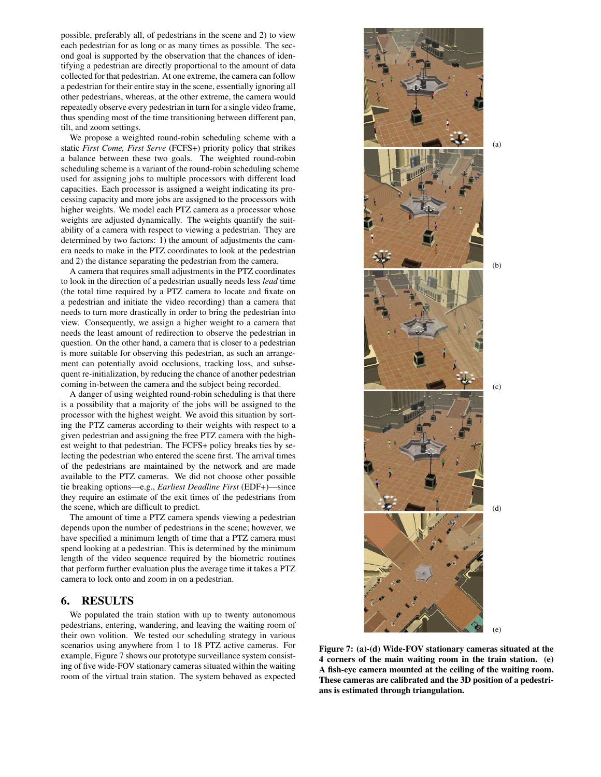possible, preferably all, of pedestrians in the scene and 2) to view each pedestrian for as long or as many times as possible. The second goal is supported by the observation that the chances of identifying a pedestrian are directly proportional to the amount of data collected for that pedestrian. At one extreme, the camera can follow a pedestrian for their entire stay in the scene, essentially ignoring all other pedestrians, whereas, at the other extreme, the camera would repeatedly observe every pedestrian in turn for a single video frame, thus spending most of the time transitioning between different pan, tilt, and zoom settings.

We propose a weighted round-robin scheduling scheme with a static *First Come, First Serve* (FCFS+) priority policy that strikes a balance between these two goals. The weighted round-robin scheduling scheme is a variant of the round-robin scheduling scheme used for assigning jobs to multiple processors with different load capacities. Each processor is assigned a weight indicating its processing capacity and more jobs are assigned to the processors with higher weights. We model each PTZ camera as a processor whose weights are adjusted dynamically. The weights quantify the suitability of a camera with respect to viewing a pedestrian. They are determined by two factors: 1) the amount of adjustments the camera needs to make in the PTZ coordinates to look at the pedestrian and 2) the distance separating the pedestrian from the camera.

A camera that requires small adjustments in the PTZ coordinates to look in the direction of a pedestrian usually needs less *lead* time (the total time required by a PTZ camera to locate and fixate on a pedestrian and initiate the video recording) than a camera that needs to turn more drastically in order to bring the pedestrian into view. Consequently, we assign a higher weight to a camera that needs the least amount of redirection to observe the pedestrian in question. On the other hand, a camera that is closer to a pedestrian is more suitable for observing this pedestrian, as such an arrangement can potentially avoid occlusions, tracking loss, and subsequent re-initialization, by reducing the chance of another pedestrian coming in-between the camera and the subject being recorded.

A danger of using weighted round-robin scheduling is that there is a possibility that a majority of the jobs will be assigned to the processor with the highest weight. We avoid this situation by sorting the PTZ cameras according to their weights with respect to a given pedestrian and assigning the free PTZ camera with the highest weight to that pedestrian. The FCFS+ policy breaks ties by selecting the pedestrian who entered the scene first. The arrival times of the pedestrians are maintained by the network and are made available to the PTZ cameras. We did not choose other possible tie breaking options—e.g., *Earliest Deadline First* (EDF+)—since they require an estimate of the exit times of the pedestrians from the scene, which are difficult to predict.

The amount of time a PTZ camera spends viewing a pedestrian depends upon the number of pedestrians in the scene; however, we have specified a minimum length of time that a PTZ camera must spend looking at a pedestrian. This is determined by the minimum length of the video sequence required by the biometric routines that perform further evaluation plus the average time it takes a PTZ camera to lock onto and zoom in on a pedestrian.

### 6. RESULTS

We populated the train station with up to twenty autonomous pedestrians, entering, wandering, and leaving the waiting room of their own volition. We tested our scheduling strategy in various scenarios using anywhere from 1 to 18 PTZ active cameras. For example, Figure 7 shows our prototype surveillance system consisting of five wide-FOV stationary cameras situated within the waiting room of the virtual train station. The system behaved as expected



Figure 7: (a)-(d) Wide-FOV stationary cameras situated at the 4 corners of the main waiting room in the train station. (e) A fish-eye camera mounted at the ceiling of the waiting room. These cameras are calibrated and the 3D position of a pedestrians is estimated through triangulation.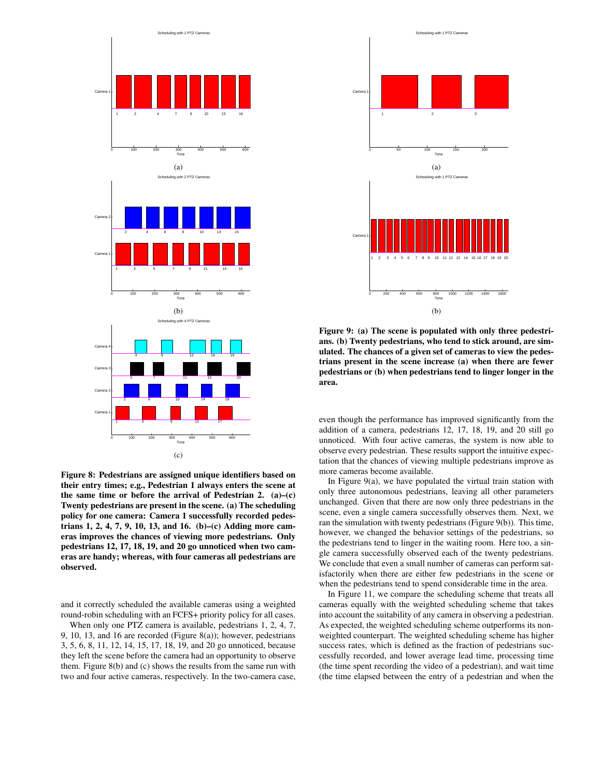

Figure 8: Pedestrians are assigned unique identifiers based on their entry times; e.g., Pedestrian 1 always enters the scene at the same time or before the arrival of Pedestrian 2.  $(a)$ – $(c)$ Twenty pedestrians are present in the scene. (a) The scheduling policy for one camera: Camera 1 successfully recorded pedestrians 1, 2, 4, 7, 9, 10, 13, and 16. (b)–(c) Adding more cameras improves the chances of viewing more pedestrians. Only pedestrians 12, 17, 18, 19, and 20 go unnoticed when two cameras are handy; whereas, with four cameras all pedestrians are observed.

and it correctly scheduled the available cameras using a weighted round-robin scheduling with an FCFS+ priority policy for all cases.

When only one PTZ camera is available, pedestrians 1, 2, 4, 7, 9, 10, 13, and 16 are recorded (Figure 8(a)); however, pedestrians 3, 5, 6, 8, 11, 12, 14, 15, 17, 18, 19, and 20 go unnoticed, because they left the scene before the camera had an opportunity to observe them. Figure 8(b) and (c) shows the results from the same run with two and four active cameras, respectively. In the two-camera case,



Figure 9: (a) The scene is populated with only three pedestrians. (b) Twenty pedestrians, who tend to stick around, are simulated. The chances of a given set of cameras to view the pedestrians present in the scene increase (a) when there are fewer pedestrians or (b) when pedestrians tend to linger longer in the area.

even though the performance has improved significantly from the addition of a camera, pedestrians 12, 17, 18, 19, and 20 still go unnoticed. With four active cameras, the system is now able to observe every pedestrian. These results support the intuitive expectation that the chances of viewing multiple pedestrians improve as more cameras become available.

In Figure 9(a), we have populated the virtual train station with only three autonomous pedestrians, leaving all other parameters unchanged. Given that there are now only three pedestrians in the scene, even a single camera successfully observes them. Next, we ran the simulation with twenty pedestrians (Figure 9(b)). This time, however, we changed the behavior settings of the pedestrians, so the pedestrians tend to linger in the waiting room. Here too, a single camera successfully observed each of the twenty pedestrians. We conclude that even a small number of cameras can perform satisfactorily when there are either few pedestrians in the scene or when the pedestrians tend to spend considerable time in the area.

In Figure 11, we compare the scheduling scheme that treats all cameras equally with the weighted scheduling scheme that takes into account the suitability of any camera in observing a pedestrian. As expected, the weighted scheduling scheme outperforms its nonweighted counterpart. The weighted scheduling scheme has higher success rates, which is defined as the fraction of pedestrians successfully recorded, and lower average lead time, processing time (the time spent recording the video of a pedestrian), and wait time (the time elapsed between the entry of a pedestrian and when the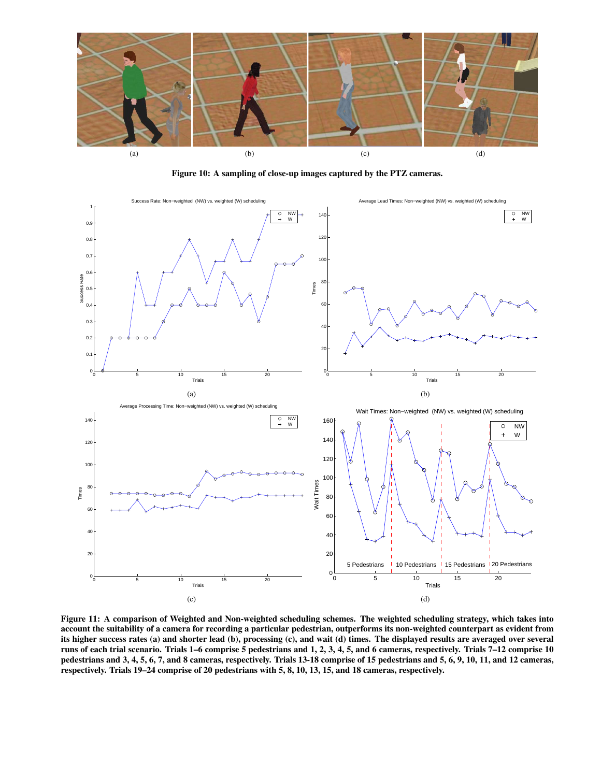

Figure 10: A sampling of close-up images captured by the PTZ cameras.



Figure 11: A comparison of Weighted and Non-weighted scheduling schemes. The weighted scheduling strategy, which takes into account the suitability of a camera for recording a particular pedestrian, outperforms its non-weighted counterpart as evident from its higher success rates (a) and shorter lead (b), processing (c), and wait (d) times. The displayed results are averaged over several runs of each trial scenario. Trials 1–6 comprise 5 pedestrians and 1, 2, 3, 4, 5, and 6 cameras, respectively. Trials 7–12 comprise 10 pedestrians and 3, 4, 5, 6, 7, and 8 cameras, respectively. Trials 13-18 comprise of 15 pedestrians and 5, 6, 9, 10, 11, and 12 cameras, respectively. Trials 19–24 comprise of 20 pedestrians with 5, 8, 10, 13, 15, and 18 cameras, respectively.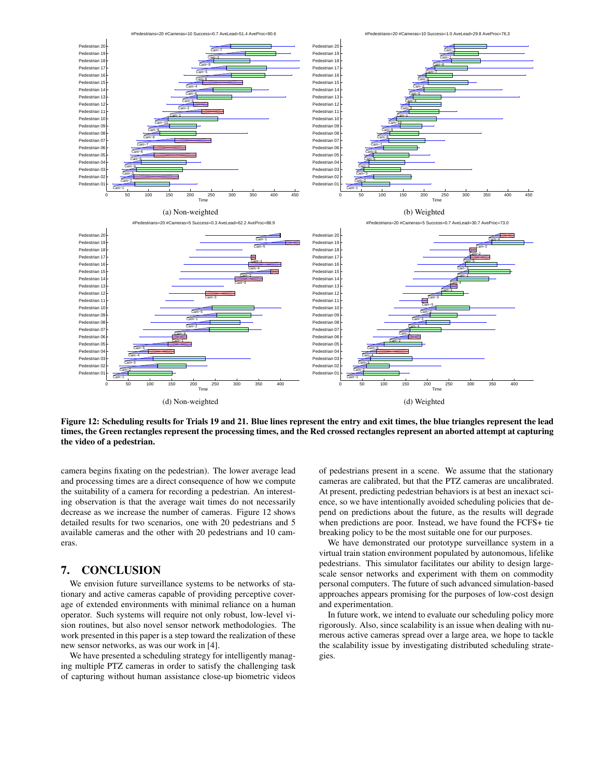

Figure 12: Scheduling results for Trials 19 and 21. Blue lines represent the entry and exit times, the blue triangles represent the lead times, the Green rectangles represent the processing times, and the Red crossed rectangles represent an aborted attempt at capturing the video of a pedestrian.

camera begins fixating on the pedestrian). The lower average lead and processing times are a direct consequence of how we compute the suitability of a camera for recording a pedestrian. An interesting observation is that the average wait times do not necessarily decrease as we increase the number of cameras. Figure 12 shows detailed results for two scenarios, one with 20 pedestrians and 5 available cameras and the other with 20 pedestrians and 10 cameras.

### 7. CONCLUSION

We envision future surveillance systems to be networks of stationary and active cameras capable of providing perceptive coverage of extended environments with minimal reliance on a human operator. Such systems will require not only robust, low-level vision routines, but also novel sensor network methodologies. The work presented in this paper is a step toward the realization of these new sensor networks, as was our work in [4].

We have presented a scheduling strategy for intelligently managing multiple PTZ cameras in order to satisfy the challenging task of capturing without human assistance close-up biometric videos of pedestrians present in a scene. We assume that the stationary cameras are calibrated, but that the PTZ cameras are uncalibrated. At present, predicting pedestrian behaviors is at best an inexact science, so we have intentionally avoided scheduling policies that depend on predictions about the future, as the results will degrade when predictions are poor. Instead, we have found the FCFS+ tie breaking policy to be the most suitable one for our purposes.

We have demonstrated our prototype surveillance system in a virtual train station environment populated by autonomous, lifelike pedestrians. This simulator facilitates our ability to design largescale sensor networks and experiment with them on commodity personal computers. The future of such advanced simulation-based approaches appears promising for the purposes of low-cost design and experimentation.

In future work, we intend to evaluate our scheduling policy more rigorously. Also, since scalability is an issue when dealing with numerous active cameras spread over a large area, we hope to tackle the scalability issue by investigating distributed scheduling strategies.